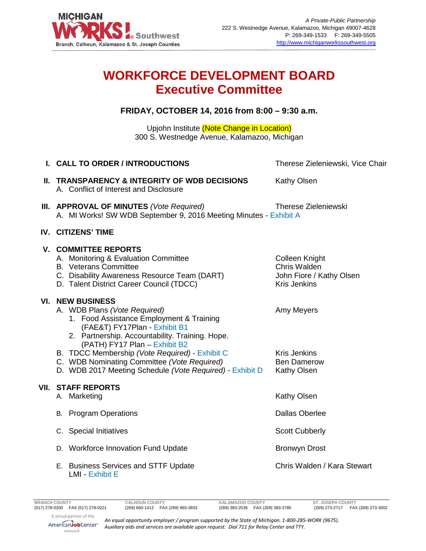

## **WORKFORCE DEVELOPMENT BOARD Executive Committee**

**FRIDAY, OCTOBER 14, 2016 from 8:00 – 9:30 a.m.**

Upjohn Institute (Note Change in Location) 300 S. Westnedge Avenue, Kalamazoo, Michigan

| I. CALL TO ORDER / INTRODUCTIONS                                                                                                                                                                                                                                                                                                                                                      | Therese Zieleniewski, Vice Chair                                                         |
|---------------------------------------------------------------------------------------------------------------------------------------------------------------------------------------------------------------------------------------------------------------------------------------------------------------------------------------------------------------------------------------|------------------------------------------------------------------------------------------|
| II. TRANSPARENCY & INTEGRITY OF WDB DECISIONS<br>A. Conflict of Interest and Disclosure                                                                                                                                                                                                                                                                                               | Kathy Olsen                                                                              |
| III. APPROVAL OF MINUTES (Vote Required)<br>A. MI Works! SW WDB September 9, 2016 Meeting Minutes - Exhibit A                                                                                                                                                                                                                                                                         | Therese Zieleniewski                                                                     |
| IV. CITIZENS' TIME                                                                                                                                                                                                                                                                                                                                                                    |                                                                                          |
| <b>V. COMMITTEE REPORTS</b><br>A. Monitoring & Evaluation Committee<br><b>B.</b> Veterans Committee<br>C. Disability Awareness Resource Team (DART)<br>D. Talent District Career Council (TDCC)                                                                                                                                                                                       | <b>Colleen Knight</b><br>Chris Walden<br>John Fiore / Kathy Olsen<br><b>Kris Jenkins</b> |
| <b>VI. NEW BUSINESS</b><br>A. WDB Plans (Vote Required)<br>1. Food Assistance Employment & Training<br>(FAE&T) FY17Plan - Exhibit B1<br>2. Partnership. Accountability. Training. Hope.<br>(PATH) FY17 Plan - Exhibit B2<br>B. TDCC Membership (Vote Required) - Exhibit C<br>C. WDB Nominating Committee (Vote Required)<br>D. WDB 2017 Meeting Schedule (Vote Required) - Exhibit D | Amy Meyers<br><b>Kris Jenkins</b><br><b>Ben Damerow</b><br>Kathy Olsen                   |
| <b>VII. STAFF REPORTS</b><br>A. Marketing                                                                                                                                                                                                                                                                                                                                             | Kathy Olsen                                                                              |
| <b>Program Operations</b><br>В.                                                                                                                                                                                                                                                                                                                                                       | <b>Dallas Oberlee</b>                                                                    |
| C. Special Initiatives                                                                                                                                                                                                                                                                                                                                                                | <b>Scott Cubberly</b>                                                                    |
| D. Workforce Innovation Fund Update                                                                                                                                                                                                                                                                                                                                                   | <b>Bronwyn Drost</b>                                                                     |
| E. Business Services and STTF Update<br><b>LMI - Exhibit E</b>                                                                                                                                                                                                                                                                                                                        | Chris Walden / Kara Stewart                                                              |

AmericanJobCenter\* network

*An equal opportunity employer / program supported by the State of Michigan. 1-800-285-WORK (9675). Auxiliary aids and services are available upon request. Dial 711 for Relay Center and TTY.*